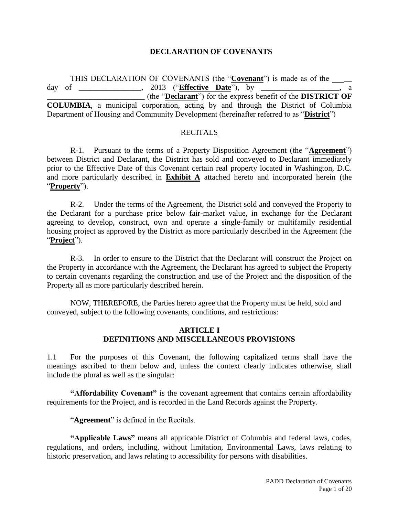#### **DECLARATION OF COVENANTS**

THIS DECLARATION OF COVENANTS (the "**Covenant**") is made as of the day of \_\_\_\_\_\_\_\_\_\_\_\_\_\_\_\_, 2013 ("**Effective Date**"), by \_\_\_\_\_\_\_\_\_\_\_\_\_\_\_\_\_\_\_\_, a \_\_\_\_\_\_\_\_\_\_\_\_\_\_\_\_\_\_\_\_\_\_\_\_\_ (the "**Declarant**") for the express benefit of the **DISTRICT OF COLUMBIA**, a municipal corporation, acting by and through the District of Columbia Department of Housing and Community Development (hereinafter referred to as "**District**")

#### **RECITALS**

R-1. Pursuant to the terms of a Property Disposition Agreement (the "**Agreement**") between District and Declarant, the District has sold and conveyed to Declarant immediately prior to the Effective Date of this Covenant certain real property located in Washington, D.C. and more particularly described in **Exhibit A** attached hereto and incorporated herein (the "**Property**").

R-2. Under the terms of the Agreement, the District sold and conveyed the Property to the Declarant for a purchase price below fair-market value, in exchange for the Declarant agreeing to develop, construct, own and operate a single-family or multifamily residential housing project as approved by the District as more particularly described in the Agreement (the "**Project**").

R-3. In order to ensure to the District that the Declarant will construct the Project on the Property in accordance with the Agreement, the Declarant has agreed to subject the Property to certain covenants regarding the construction and use of the Project and the disposition of the Property all as more particularly described herein.

NOW, THEREFORE, the Parties hereto agree that the Property must be held, sold and conveyed, subject to the following covenants, conditions, and restrictions:

#### **ARTICLE I DEFINITIONS AND MISCELLANEOUS PROVISIONS**

1.1 For the purposes of this Covenant, the following capitalized terms shall have the meanings ascribed to them below and, unless the context clearly indicates otherwise, shall include the plural as well as the singular:

**"Affordability Covenant"** is the covenant agreement that contains certain affordability requirements for the Project, and is recorded in the Land Records against the Property.

"**Agreement**" is defined in the Recitals.

**"Applicable Laws"** means all applicable District of Columbia and federal laws, codes, regulations, and orders, including, without limitation, Environmental Laws, laws relating to historic preservation, and laws relating to accessibility for persons with disabilities.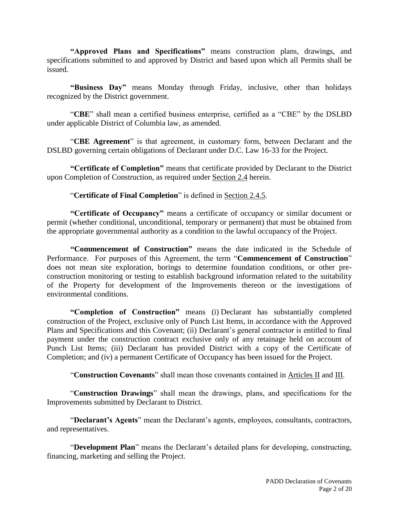**"Approved Plans and Specifications"** means construction plans, drawings, and specifications submitted to and approved by District and based upon which all Permits shall be issued.

**"Business Day"** means Monday through Friday, inclusive, other than holidays recognized by the District government.

"**CBE**" shall mean a certified business enterprise, certified as a "CBE" by the DSLBD under applicable District of Columbia law, as amended.

"**CBE Agreement**" is that agreement, in customary form, between Declarant and the DSLBD governing certain obligations of Declarant under D.C. Law 16-33 for the Project.

**"Certificate of Completion"** means that certificate provided by Declarant to the District upon Completion of Construction, as required under Section 2.4 herein.

"**Certificate of Final Completion**" is defined in Section 2.4.5.

**"Certificate of Occupancy"** means a certificate of occupancy or similar document or permit (whether conditional, unconditional, temporary or permanent) that must be obtained from the appropriate governmental authority as a condition to the lawful occupancy of the Project.

**"Commencement of Construction"** means the date indicated in the Schedule of Performance. For purposes of this Agreement, the term "**Commencement of Construction**" does not mean site exploration, borings to determine foundation conditions, or other preconstruction monitoring or testing to establish background information related to the suitability of the Property for development of the Improvements thereon or the investigations of environmental conditions.

**"Completion of Construction"** means (i) Declarant has substantially completed construction of the Project, exclusive only of Punch List Items, in accordance with the Approved Plans and Specifications and this Covenant; (ii) Declarant's general contractor is entitled to final payment under the construction contract exclusive only of any retainage held on account of Punch List Items; (iii) Declarant has provided District with a copy of the Certificate of Completion; and (iv) a permanent Certificate of Occupancy has been issued for the Project.

"**Construction Covenants**" shall mean those covenants contained in Articles II and III.

"**Construction Drawings**" shall mean the drawings, plans, and specifications for the Improvements submitted by Declarant to District.

"**Declarant's Agents**" mean the Declarant's agents, employees, consultants, contractors, and representatives.

"**Development Plan**" means the Declarant's detailed plans for developing, constructing, financing, marketing and selling the Project.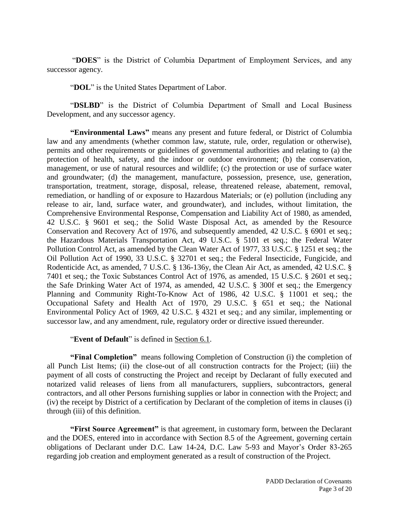"**DOES**" is the District of Columbia Department of Employment Services, and any successor agency.

"**DOL**" is the United States Department of Labor.

"DSLBD" is the District of Columbia Department of Small and Local Business Development, and any successor agency.

**"Environmental Laws"** means any present and future federal, or District of Columbia law and any amendments (whether common law, statute, rule, order, regulation or otherwise), permits and other requirements or guidelines of governmental authorities and relating to (a) the protection of health, safety, and the indoor or outdoor environment; (b) the conservation, management, or use of natural resources and wildlife; (c) the protection or use of surface water and groundwater; (d) the management, manufacture, possession, presence, use, generation, transportation, treatment, storage, disposal, release, threatened release, abatement, removal, remediation, or handling of or exposure to Hazardous Materials; or (e) pollution (including any release to air, land, surface water, and groundwater), and includes, without limitation, the Comprehensive Environmental Response, Compensation and Liability Act of 1980, as amended, 42 U.S.C. § 9601 et seq.; the Solid Waste Disposal Act, as amended by the Resource Conservation and Recovery Act of 1976, and subsequently amended, 42 U.S.C. § 6901 et seq.; the Hazardous Materials Transportation Act, 49 U.S.C. § 5101 et seq.; the Federal Water Pollution Control Act, as amended by the Clean Water Act of 1977, 33 U.S.C. § 1251 et seq.; the Oil Pollution Act of 1990, 33 U.S.C. § 32701 et seq.; the Federal Insecticide, Fungicide, and Rodenticide Act, as amended, 7 U.S.C. § 136-136y, the Clean Air Act, as amended, 42 U.S.C. § 7401 et seq.; the Toxic Substances Control Act of 1976, as amended, 15 U.S.C. § 2601 et seq.; the Safe Drinking Water Act of 1974, as amended, 42 U.S.C. § 300f et seq.; the Emergency Planning and Community Right-To-Know Act of 1986, 42 U.S.C. § 11001 et seq.; the Occupational Safety and Health Act of 1970, 29 U.S.C. § 651 et seq.; the National Environmental Policy Act of 1969, 42 U.S.C. § 4321 et seq.; and any similar, implementing or successor law, and any amendment, rule, regulatory order or directive issued thereunder.

"**Event of Default**" is defined in Section 6.1.

**"Final Completion"** means following Completion of Construction (i) the completion of all Punch List Items; (ii) the close-out of all construction contracts for the Project; (iii) the payment of all costs of constructing the Project and receipt by Declarant of fully executed and notarized valid releases of liens from all manufacturers, suppliers, subcontractors, general contractors, and all other Persons furnishing supplies or labor in connection with the Project; and (iv) the receipt by District of a certification by Declarant of the completion of items in clauses (i) through (iii) of this definition.

**"First Source Agreement"** is that agreement, in customary form, between the Declarant and the DOES, entered into in accordance with Section 8.5 of the Agreement, governing certain obligations of Declarant under D.C. Law 14-24, D.C. Law 5-93 and Mayor's Order 83-265 regarding job creation and employment generated as a result of construction of the Project.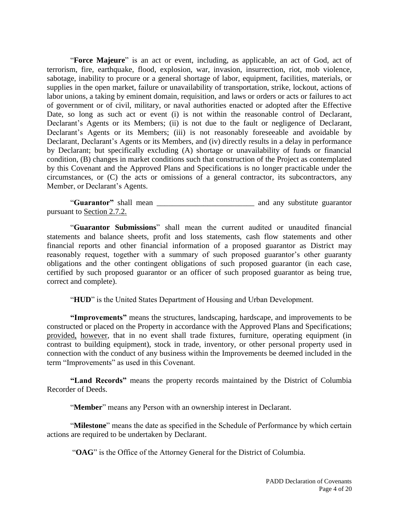"**Force Majeure**" is an act or event, including, as applicable, an act of God, act of terrorism, fire, earthquake, flood, explosion, war, invasion, insurrection, riot, mob violence, sabotage, inability to procure or a general shortage of labor, equipment, facilities, materials, or supplies in the open market, failure or unavailability of transportation, strike, lockout, actions of labor unions, a taking by eminent domain, requisition, and laws or orders or acts or failures to act of government or of civil, military, or naval authorities enacted or adopted after the Effective Date, so long as such act or event (i) is not within the reasonable control of Declarant, Declarant's Agents or its Members; (ii) is not due to the fault or negligence of Declarant, Declarant's Agents or its Members; (iii) is not reasonably foreseeable and avoidable by Declarant, Declarant's Agents or its Members, and (iv) directly results in a delay in performance by Declarant; but specifically excluding (A) shortage or unavailability of funds or financial condition, (B) changes in market conditions such that construction of the Project as contemplated by this Covenant and the Approved Plans and Specifications is no longer practicable under the circumstances, or (C) the acts or omissions of a general contractor, its subcontractors, any Member, or Declarant's Agents.

"**Guarantor"** shall mean \_\_\_\_\_\_\_\_\_\_\_\_\_\_\_\_\_\_\_\_\_\_\_\_\_ and any substitute guarantor pursuant to Section 2.7.2.

"**Guarantor Submissions**" shall mean the current audited or unaudited financial statements and balance sheets, profit and loss statements, cash flow statements and other financial reports and other financial information of a proposed guarantor as District may reasonably request, together with a summary of such proposed guarantor's other guaranty obligations and the other contingent obligations of such proposed guarantor (in each case, certified by such proposed guarantor or an officer of such proposed guarantor as being true, correct and complete).

"**HUD**" is the United States Department of Housing and Urban Development.

**"Improvements"** means the structures, landscaping, hardscape, and improvements to be constructed or placed on the Property in accordance with the Approved Plans and Specifications; provided, however, that in no event shall trade fixtures, furniture, operating equipment (in contrast to building equipment), stock in trade, inventory, or other personal property used in connection with the conduct of any business within the Improvements be deemed included in the term "Improvements" as used in this Covenant.

**"Land Records"** means the property records maintained by the District of Columbia Recorder of Deeds.

"**Member**" means any Person with an ownership interest in Declarant.

"**Milestone**" means the date as specified in the Schedule of Performance by which certain actions are required to be undertaken by Declarant.

"**OAG**" is the Office of the Attorney General for the District of Columbia.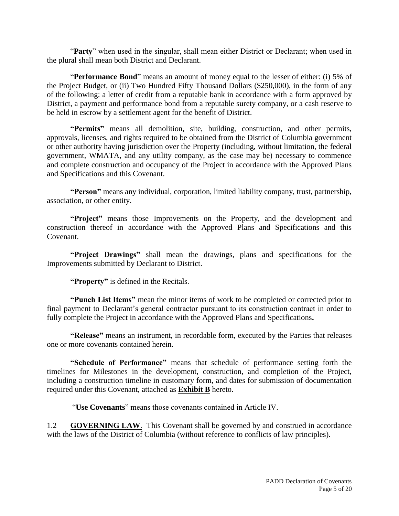"**Party**" when used in the singular, shall mean either District or Declarant; when used in the plural shall mean both District and Declarant.

"**Performance Bond**" means an amount of money equal to the lesser of either: (i) 5% of the Project Budget, or (ii) Two Hundred Fifty Thousand Dollars (\$250,000), in the form of any of the following: a letter of credit from a reputable bank in accordance with a form approved by District, a payment and performance bond from a reputable surety company, or a cash reserve to be held in escrow by a settlement agent for the benefit of District.

**"Permits"** means all demolition, site, building, construction, and other permits, approvals, licenses, and rights required to be obtained from the District of Columbia government or other authority having jurisdiction over the Property (including, without limitation, the federal government, WMATA, and any utility company, as the case may be) necessary to commence and complete construction and occupancy of the Project in accordance with the Approved Plans and Specifications and this Covenant.

**"Person"** means any individual, corporation, limited liability company, trust, partnership, association, or other entity.

**"Project"** means those Improvements on the Property, and the development and construction thereof in accordance with the Approved Plans and Specifications and this Covenant.

**"Project Drawings"** shall mean the drawings, plans and specifications for the Improvements submitted by Declarant to District.

**"Property"** is defined in the Recitals.

**"Punch List Items"** mean the minor items of work to be completed or corrected prior to final payment to Declarant's general contractor pursuant to its construction contract in order to fully complete the Project in accordance with the Approved Plans and Specifications**.**

**"Release"** means an instrument, in recordable form, executed by the Parties that releases one or more covenants contained herein.

**"Schedule of Performance"** means that schedule of performance setting forth the timelines for Milestones in the development, construction, and completion of the Project, including a construction timeline in customary form, and dates for submission of documentation required under this Covenant, attached as **Exhibit B** hereto.

"**Use Covenants**" means those covenants contained in Article IV.

1.2 **GOVERNING LAW.** This Covenant shall be governed by and construed in accordance with the laws of the District of Columbia (without reference to conflicts of law principles).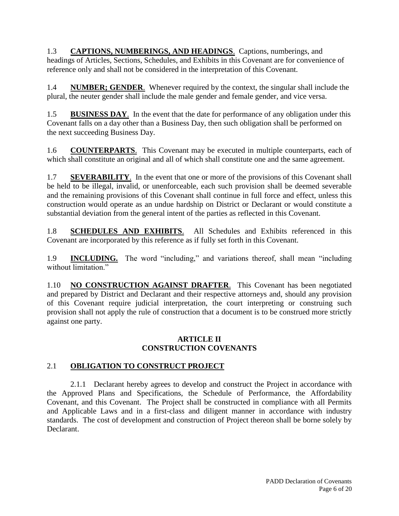1.3 **CAPTIONS, NUMBERINGS, AND HEADINGS**.Captions, numberings, and headings of Articles, Sections, Schedules, and Exhibits in this Covenant are for convenience of reference only and shall not be considered in the interpretation of this Covenant.

1.4 **NUMBER; GENDER**. Whenever required by the context, the singular shall include the plural, the neuter gender shall include the male gender and female gender, and vice versa.

1.5 **BUSINESS DAY**. In the event that the date for performance of any obligation under this Covenant falls on a day other than a Business Day, then such obligation shall be performed on the next succeeding Business Day.

1.6 **COUNTERPARTS**.This Covenant may be executed in multiple counterparts, each of which shall constitute an original and all of which shall constitute one and the same agreement.

1.7 **SEVERABILITY**.In the event that one or more of the provisions of this Covenant shall be held to be illegal, invalid, or unenforceable, each such provision shall be deemed severable and the remaining provisions of this Covenant shall continue in full force and effect, unless this construction would operate as an undue hardship on District or Declarant or would constitute a substantial deviation from the general intent of the parties as reflected in this Covenant.

1.8 **SCHEDULES AND EXHIBITS**. All Schedules and Exhibits referenced in this Covenant are incorporated by this reference as if fully set forth in this Covenant.

1.9 **INCLUDING.** The word "including," and variations thereof, shall mean "including without limitation."

1.10 **NO CONSTRUCTION AGAINST DRAFTER**.This Covenant has been negotiated and prepared by District and Declarant and their respective attorneys and, should any provision of this Covenant require judicial interpretation, the court interpreting or construing such provision shall not apply the rule of construction that a document is to be construed more strictly against one party.

## **ARTICLE II CONSTRUCTION COVENANTS**

## 2.1 **OBLIGATION TO CONSTRUCT PROJECT**

2.1.1 Declarant hereby agrees to develop and construct the Project in accordance with the Approved Plans and Specifications, the Schedule of Performance, the Affordability Covenant, and this Covenant. The Project shall be constructed in compliance with all Permits and Applicable Laws and in a first-class and diligent manner in accordance with industry standards. The cost of development and construction of Project thereon shall be borne solely by Declarant.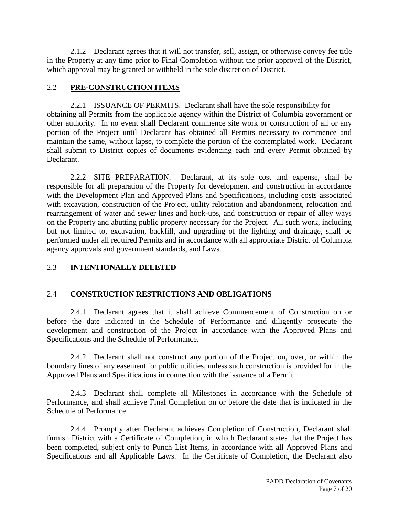2.1.2 Declarant agrees that it will not transfer, sell, assign, or otherwise convey fee title in the Property at any time prior to Final Completion without the prior approval of the District, which approval may be granted or withheld in the sole discretion of District.

## 2.2 **PRE-CONSTRUCTION ITEMS**

2.2.1 ISSUANCE OF PERMITS. Declarant shall have the sole responsibility for obtaining all Permits from the applicable agency within the District of Columbia government or other authority. In no event shall Declarant commence site work or construction of all or any portion of the Project until Declarant has obtained all Permits necessary to commence and maintain the same, without lapse, to complete the portion of the contemplated work. Declarant shall submit to District copies of documents evidencing each and every Permit obtained by Declarant.

2.2.2 SITE PREPARATION. Declarant, at its sole cost and expense, shall be responsible for all preparation of the Property for development and construction in accordance with the Development Plan and Approved Plans and Specifications, including costs associated with excavation, construction of the Project, utility relocation and abandonment, relocation and rearrangement of water and sewer lines and hook-ups, and construction or repair of alley ways on the Property and abutting public property necessary for the Project. All such work, including but not limited to, excavation, backfill, and upgrading of the lighting and drainage, shall be performed under all required Permits and in accordance with all appropriate District of Columbia agency approvals and government standards, and Laws.

# 2.3 **INTENTIONALLY DELETED**

## 2.4 **CONSTRUCTION RESTRICTIONS AND OBLIGATIONS**

2.4.1 Declarant agrees that it shall achieve Commencement of Construction on or before the date indicated in the Schedule of Performance and diligently prosecute the development and construction of the Project in accordance with the Approved Plans and Specifications and the Schedule of Performance.

2.4.2 Declarant shall not construct any portion of the Project on, over, or within the boundary lines of any easement for public utilities, unless such construction is provided for in the Approved Plans and Specifications in connection with the issuance of a Permit.

2.4.3 Declarant shall complete all Milestones in accordance with the Schedule of Performance, and shall achieve Final Completion on or before the date that is indicated in the Schedule of Performance.

2.4.4 Promptly after Declarant achieves Completion of Construction, Declarant shall furnish District with a Certificate of Completion, in which Declarant states that the Project has been completed, subject only to Punch List Items, in accordance with all Approved Plans and Specifications and all Applicable Laws. In the Certificate of Completion, the Declarant also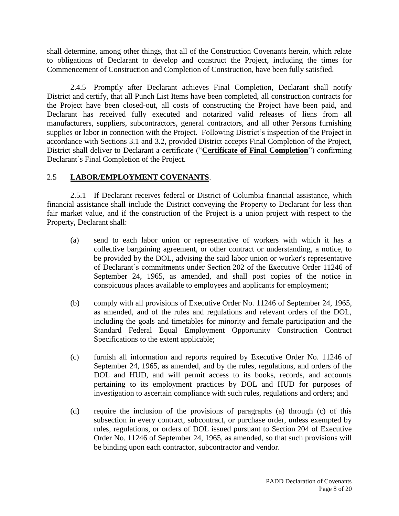shall determine, among other things, that all of the Construction Covenants herein, which relate to obligations of Declarant to develop and construct the Project, including the times for Commencement of Construction and Completion of Construction, have been fully satisfied.

2.4.5 Promptly after Declarant achieves Final Completion, Declarant shall notify District and certify, that all Punch List Items have been completed, all construction contracts for the Project have been closed-out, all costs of constructing the Project have been paid, and Declarant has received fully executed and notarized valid releases of liens from all manufacturers, suppliers, subcontractors, general contractors, and all other Persons furnishing supplies or labor in connection with the Project. Following District's inspection of the Project in accordance with Sections 3.1 and 3.2, provided District accepts Final Completion of the Project, District shall deliver to Declarant a certificate ("**Certificate of Final Completion**") confirming Declarant's Final Completion of the Project.

## 2.5 **LABOR/EMPLOYMENT COVENANTS**.

2.5.1 If Declarant receives federal or District of Columbia financial assistance, which financial assistance shall include the District conveying the Property to Declarant for less than fair market value, and if the construction of the Project is a union project with respect to the Property, Declarant shall:

- (a) send to each labor union or representative of workers with which it has a collective bargaining agreement, or other contract or understanding, a notice, to be provided by the DOL, advising the said labor union or worker's representative of Declarant's commitments under Section 202 of the Executive Order 11246 of September 24, 1965, as amended, and shall post copies of the notice in conspicuous places available to employees and applicants for employment;
- (b) comply with all provisions of Executive Order No. 11246 of September 24, 1965, as amended, and of the rules and regulations and relevant orders of the DOL, including the goals and timetables for minority and female participation and the Standard Federal Equal Employment Opportunity Construction Contract Specifications to the extent applicable;
- (c) furnish all information and reports required by Executive Order No. 11246 of September 24, 1965, as amended, and by the rules, regulations, and orders of the DOL and HUD, and will permit access to its books, records, and accounts pertaining to its employment practices by DOL and HUD for purposes of investigation to ascertain compliance with such rules, regulations and orders; and
- (d) require the inclusion of the provisions of paragraphs (a) through (c) of this subsection in every contract, subcontract, or purchase order, unless exempted by rules, regulations, or orders of DOL issued pursuant to Section 204 of Executive Order No. 11246 of September 24, 1965, as amended, so that such provisions will be binding upon each contractor, subcontractor and vendor.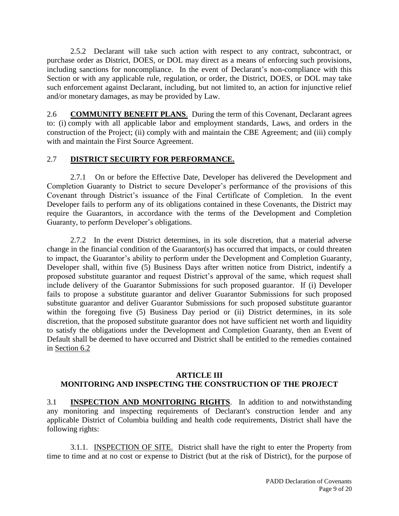2.5.2 Declarant will take such action with respect to any contract, subcontract, or purchase order as District, DOES, or DOL may direct as a means of enforcing such provisions, including sanctions for noncompliance. In the event of Declarant's non-compliance with this Section or with any applicable rule, regulation, or order, the District, DOES, or DOL may take such enforcement against Declarant, including, but not limited to, an action for injunctive relief and/or monetary damages, as may be provided by Law.

2.6 **COMMUNITY BENEFIT PLANS**. During the term of this Covenant, Declarant agrees to: (i) comply with all applicable labor and employment standards, Laws, and orders in the construction of the Project; (ii) comply with and maintain the CBE Agreement; and (iii) comply with and maintain the First Source Agreement.

## 2.7 **DISTRICT SECUIRTY FOR PERFORMANCE.**

2.7.1 On or before the Effective Date, Developer has delivered the Development and Completion Guaranty to District to secure Developer's performance of the provisions of this Covenant through District's issuance of the Final Certificate of Completion. In the event Developer fails to perform any of its obligations contained in these Covenants, the District may require the Guarantors, in accordance with the terms of the Development and Completion Guaranty, to perform Developer's obligations.

2.7.2 In the event District determines, in its sole discretion, that a material adverse change in the financial condition of the Guarantor(s) has occurred that impacts, or could threaten to impact, the Guarantor's ability to perform under the Development and Completion Guaranty, Developer shall, within five (5) Business Days after written notice from District, indentify a proposed substitute guarantor and request District's approval of the same, which request shall include delivery of the Guarantor Submissions for such proposed guarantor. If (i) Developer fails to propose a substitute guarantor and deliver Guarantor Submissions for such proposed substitute guarantor and deliver Guarantor Submissions for such proposed substitute guarantor within the foregoing five (5) Business Day period or (ii) District determines, in its sole discretion, that the proposed substitute guarantor does not have sufficient net worth and liquidity to satisfy the obligations under the Development and Completion Guaranty, then an Event of Default shall be deemed to have occurred and District shall be entitled to the remedies contained in Section 6.2

## **ARTICLE III**

## **MONITORING AND INSPECTING THE CONSTRUCTION OF THE PROJECT**

3.1 **INSPECTION AND MONITORING RIGHTS**. In addition to and notwithstanding any monitoring and inspecting requirements of Declarant's construction lender and any applicable District of Columbia building and health code requirements, District shall have the following rights:

3.1.1. INSPECTION OF SITE. District shall have the right to enter the Property from time to time and at no cost or expense to District (but at the risk of District), for the purpose of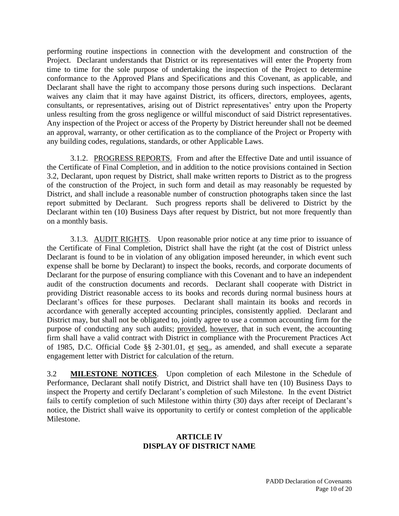performing routine inspections in connection with the development and construction of the Project. Declarant understands that District or its representatives will enter the Property from time to time for the sole purpose of undertaking the inspection of the Project to determine conformance to the Approved Plans and Specifications and this Covenant, as applicable, and Declarant shall have the right to accompany those persons during such inspections. Declarant waives any claim that it may have against District, its officers, directors, employees, agents, consultants, or representatives, arising out of District representatives' entry upon the Property unless resulting from the gross negligence or willful misconduct of said District representatives. Any inspection of the Project or access of the Property by District hereunder shall not be deemed an approval, warranty, or other certification as to the compliance of the Project or Property with any building codes, regulations, standards, or other Applicable Laws.

3.1.2. PROGRESS REPORTS. From and after the Effective Date and until issuance of the Certificate of Final Completion, and in addition to the notice provisions contained in Section 3.2, Declarant, upon request by District, shall make written reports to District as to the progress of the construction of the Project, in such form and detail as may reasonably be requested by District, and shall include a reasonable number of construction photographs taken since the last report submitted by Declarant. Such progress reports shall be delivered to District by the Declarant within ten (10) Business Days after request by District, but not more frequently than on a monthly basis.

3.1.3. AUDIT RIGHTS. Upon reasonable prior notice at any time prior to issuance of the Certificate of Final Completion, District shall have the right (at the cost of District unless Declarant is found to be in violation of any obligation imposed hereunder, in which event such expense shall be borne by Declarant) to inspect the books, records, and corporate documents of Declarant for the purpose of ensuring compliance with this Covenant and to have an independent audit of the construction documents and records. Declarant shall cooperate with District in providing District reasonable access to its books and records during normal business hours at Declarant's offices for these purposes. Declarant shall maintain its books and records in accordance with generally accepted accounting principles, consistently applied. Declarant and District may, but shall not be obligated to, jointly agree to use a common accounting firm for the purpose of conducting any such audits; provided, however, that in such event, the accounting firm shall have a valid contract with District in compliance with the Procurement Practices Act of 1985, D.C. Official Code §§ 2-301.01, et seq., as amended, and shall execute a separate engagement letter with District for calculation of the return.

3.2 **MILESTONE NOTICES**. Upon completion of each Milestone in the Schedule of Performance, Declarant shall notify District, and District shall have ten (10) Business Days to inspect the Property and certify Declarant's completion of such Milestone. In the event District fails to certify completion of such Milestone within thirty (30) days after receipt of Declarant's notice, the District shall waive its opportunity to certify or contest completion of the applicable Milestone.

## **ARTICLE IV DISPLAY OF DISTRICT NAME**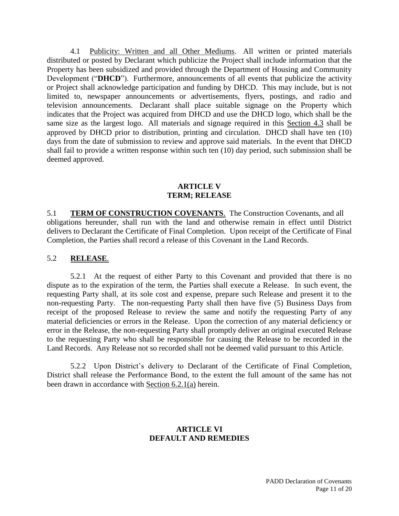4.1 Publicity: Written and all Other Mediums. All written or printed materials distributed or posted by Declarant which publicize the Project shall include information that the Property has been subsidized and provided through the Department of Housing and Community Development ("**DHCD**"). Furthermore, announcements of all events that publicize the activity or Project shall acknowledge participation and funding by DHCD. This may include, but is not limited to, newspaper announcements or advertisements, flyers, postings, and radio and television announcements. Declarant shall place suitable signage on the Property which indicates that the Project was acquired from DHCD and use the DHCD logo, which shall be the same size as the largest logo. All materials and signage required in this Section 4.3 shall be approved by DHCD prior to distribution, printing and circulation. DHCD shall have ten (10) days from the date of submission to review and approve said materials. In the event that DHCD shall fail to provide a written response within such ten (10) day period, such submission shall be deemed approved.

#### **ARTICLE V TERM; RELEASE**

5.1 **TERM OF CONSTRUCTION COVENANTS**. The Construction Covenants, and all obligations hereunder, shall run with the land and otherwise remain in effect until District delivers to Declarant the Certificate of Final Completion. Upon receipt of the Certificate of Final Completion, the Parties shall record a release of this Covenant in the Land Records.

## 5.2 **RELEASE**.

5.2.1 At the request of either Party to this Covenant and provided that there is no dispute as to the expiration of the term, the Parties shall execute a Release. In such event, the requesting Party shall, at its sole cost and expense, prepare such Release and present it to the non-requesting Party. The non-requesting Party shall then have five (5) Business Days from receipt of the proposed Release to review the same and notify the requesting Party of any material deficiencies or errors in the Release. Upon the correction of any material deficiency or error in the Release, the non-requesting Party shall promptly deliver an original executed Release to the requesting Party who shall be responsible for causing the Release to be recorded in the Land Records. Any Release not so recorded shall not be deemed valid pursuant to this Article.

5.2.2 Upon District's delivery to Declarant of the Certificate of Final Completion, District shall release the Performance Bond, to the extent the full amount of the same has not been drawn in accordance with Section 6.2.1(a) herein.

#### **ARTICLE VI DEFAULT AND REMEDIES**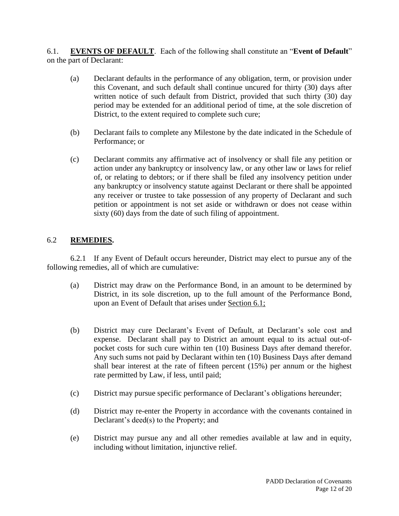6.1. **EVENTS OF DEFAULT**. Each of the following shall constitute an "**Event of Default**" on the part of Declarant:

- (a) Declarant defaults in the performance of any obligation, term, or provision under this Covenant, and such default shall continue uncured for thirty (30) days after written notice of such default from District, provided that such thirty (30) day period may be extended for an additional period of time, at the sole discretion of District, to the extent required to complete such cure;
- (b) Declarant fails to complete any Milestone by the date indicated in the Schedule of Performance; or
- (c) Declarant commits any affirmative act of insolvency or shall file any petition or action under any bankruptcy or insolvency law, or any other law or laws for relief of, or relating to debtors; or if there shall be filed any insolvency petition under any bankruptcy or insolvency statute against Declarant or there shall be appointed any receiver or trustee to take possession of any property of Declarant and such petition or appointment is not set aside or withdrawn or does not cease within sixty (60) days from the date of such filing of appointment.

## 6.2 **REMEDIES.**

6.2.1 If any Event of Default occurs hereunder, District may elect to pursue any of the following remedies, all of which are cumulative:

- (a) District may draw on the Performance Bond, in an amount to be determined by District, in its sole discretion, up to the full amount of the Performance Bond, upon an Event of Default that arises under Section 6.1;
- (b) District may cure Declarant's Event of Default, at Declarant's sole cost and expense. Declarant shall pay to District an amount equal to its actual out-ofpocket costs for such cure within ten (10) Business Days after demand therefor. Any such sums not paid by Declarant within ten (10) Business Days after demand shall bear interest at the rate of fifteen percent (15%) per annum or the highest rate permitted by Law, if less, until paid;
- (c) District may pursue specific performance of Declarant's obligations hereunder;
- (d) District may re-enter the Property in accordance with the covenants contained in Declarant's deed(s) to the Property; and
- (e) District may pursue any and all other remedies available at law and in equity, including without limitation, injunctive relief.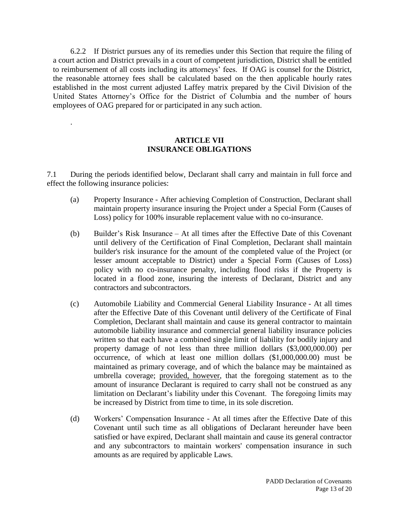6.2.2 If District pursues any of its remedies under this Section that require the filing of a court action and District prevails in a court of competent jurisdiction, District shall be entitled to reimbursement of all costs including its attorneys' fees. If OAG is counsel for the District, the reasonable attorney fees shall be calculated based on the then applicable hourly rates established in the most current adjusted Laffey matrix prepared by the Civil Division of the United States Attorney's Office for the District of Columbia and the number of hours employees of OAG prepared for or participated in any such action.

## **ARTICLE VII INSURANCE OBLIGATIONS**

.

7.1 During the periods identified below, Declarant shall carry and maintain in full force and effect the following insurance policies:

- (a) Property Insurance After achieving Completion of Construction, Declarant shall maintain property insurance insuring the Project under a Special Form (Causes of Loss) policy for 100% insurable replacement value with no co-insurance.
- (b) Builder's Risk Insurance At all times after the Effective Date of this Covenant until delivery of the Certification of Final Completion, Declarant shall maintain builder's risk insurance for the amount of the completed value of the Project (or lesser amount acceptable to District) under a Special Form (Causes of Loss) policy with no co-insurance penalty, including flood risks if the Property is located in a flood zone, insuring the interests of Declarant, District and any contractors and subcontractors.
- (c) Automobile Liability and Commercial General Liability Insurance At all times after the Effective Date of this Covenant until delivery of the Certificate of Final Completion, Declarant shall maintain and cause its general contractor to maintain automobile liability insurance and commercial general liability insurance policies written so that each have a combined single limit of liability for bodily injury and property damage of not less than three million dollars (\$3,000,000.00) per occurrence, of which at least one million dollars (\$1,000,000.00) must be maintained as primary coverage, and of which the balance may be maintained as umbrella coverage; provided, however, that the foregoing statement as to the amount of insurance Declarant is required to carry shall not be construed as any limitation on Declarant's liability under this Covenant. The foregoing limits may be increased by District from time to time, in its sole discretion.
- (d) Workers' Compensation Insurance At all times after the Effective Date of this Covenant until such time as all obligations of Declarant hereunder have been satisfied or have expired, Declarant shall maintain and cause its general contractor and any subcontractors to maintain workers' compensation insurance in such amounts as are required by applicable Laws.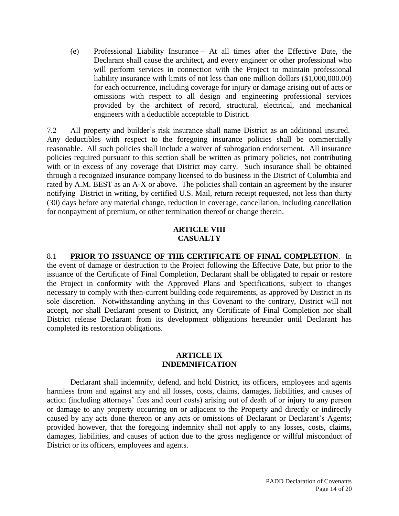(e) Professional Liability Insurance – At all times after the Effective Date, the Declarant shall cause the architect, and every engineer or other professional who will perform services in connection with the Project to maintain professional liability insurance with limits of not less than one million dollars (\$1,000,000.00) for each occurrence, including coverage for injury or damage arising out of acts or omissions with respect to all design and engineering professional services provided by the architect of record, structural, electrical, and mechanical engineers with a deductible acceptable to District.

7.2 All property and builder's risk insurance shall name District as an additional insured. Any deductibles with respect to the foregoing insurance policies shall be commercially reasonable. All such policies shall include a waiver of subrogation endorsement. All insurance policies required pursuant to this section shall be written as primary policies, not contributing with or in excess of any coverage that District may carry. Such insurance shall be obtained through a recognized insurance company licensed to do business in the District of Columbia and rated by A.M. BEST as an A-X or above. The policies shall contain an agreement by the insurer notifying District in writing, by certified U.S. Mail, return receipt requested, not less than thirty (30) days before any material change, reduction in coverage, cancellation, including cancellation for nonpayment of premium, or other termination thereof or change therein.

#### **ARTICLE VIII CASUALTY**

#### 8.1 **PRIOR TO ISSUANCE OF THE CERTIFICATE OF FINAL COMPLETION**. In the event of damage or destruction to the Project following the Effective Date, but prior to the issuance of the Certificate of Final Completion, Declarant shall be obligated to repair or restore the Project in conformity with the Approved Plans and Specifications, subject to changes necessary to comply with then-current building code requirements, as approved by District in its sole discretion. Notwithstanding anything in this Covenant to the contrary, District will not accept, nor shall Declarant present to District, any Certificate of Final Completion nor shall District release Declarant from its development obligations hereunder until Declarant has completed its restoration obligations.

#### **ARTICLE IX INDEMNIFICATION**

Declarant shall indemnify, defend, and hold District, its officers, employees and agents harmless from and against any and all losses, costs, claims, damages, liabilities, and causes of action (including attorneys' fees and court costs) arising out of death of or injury to any person or damage to any property occurring on or adjacent to the Property and directly or indirectly caused by any acts done thereon or any acts or omissions of Declarant or Declarant's Agents; provided however, that the foregoing indemnity shall not apply to any losses, costs, claims, damages, liabilities, and causes of action due to the gross negligence or willful misconduct of District or its officers, employees and agents.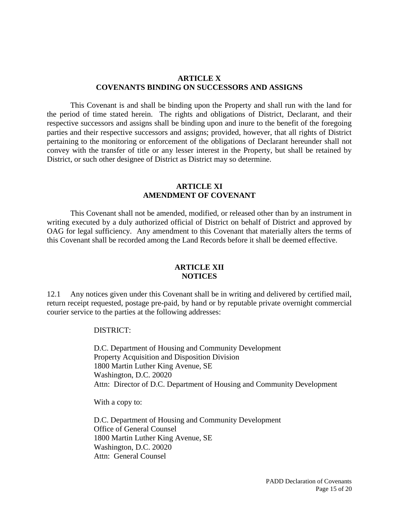#### **ARTICLE X COVENANTS BINDING ON SUCCESSORS AND ASSIGNS**

This Covenant is and shall be binding upon the Property and shall run with the land for the period of time stated herein. The rights and obligations of District, Declarant, and their respective successors and assigns shall be binding upon and inure to the benefit of the foregoing parties and their respective successors and assigns; provided, however, that all rights of District pertaining to the monitoring or enforcement of the obligations of Declarant hereunder shall not convey with the transfer of title or any lesser interest in the Property, but shall be retained by District, or such other designee of District as District may so determine.

#### **ARTICLE XI AMENDMENT OF COVENANT**

This Covenant shall not be amended, modified, or released other than by an instrument in writing executed by a duly authorized official of District on behalf of District and approved by OAG for legal sufficiency. Any amendment to this Covenant that materially alters the terms of this Covenant shall be recorded among the Land Records before it shall be deemed effective.

#### **ARTICLE XII NOTICES**

12.1 Any notices given under this Covenant shall be in writing and delivered by certified mail, return receipt requested, postage pre-paid, by hand or by reputable private overnight commercial courier service to the parties at the following addresses:

#### DISTRICT:

D.C. Department of Housing and Community Development Property Acquisition and Disposition Division 1800 Martin Luther King Avenue, SE Washington, D.C. 20020 Attn: Director of D.C. Department of Housing and Community Development

With a copy to:

D.C. Department of Housing and Community Development Office of General Counsel 1800 Martin Luther King Avenue, SE Washington, D.C. 20020 Attn: General Counsel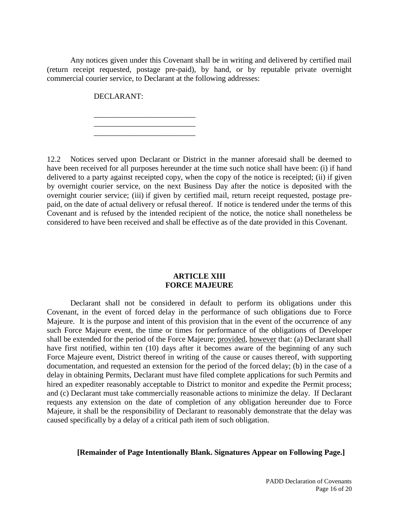Any notices given under this Covenant shall be in writing and delivered by certified mail (return receipt requested, postage pre-paid), by hand, or by reputable private overnight commercial courier service, to Declarant at the following addresses:

DECLARANT:

\_\_\_\_\_\_\_\_\_\_\_\_\_\_\_\_\_\_\_\_\_\_\_\_\_\_ \_\_\_\_\_\_\_\_\_\_\_\_\_\_\_\_\_\_\_\_\_\_\_\_\_\_

\_\_\_\_\_\_\_\_\_\_\_\_\_\_\_\_\_\_\_\_\_\_\_\_\_\_

12.2 Notices served upon Declarant or District in the manner aforesaid shall be deemed to have been received for all purposes hereunder at the time such notice shall have been: (i) if hand delivered to a party against receipted copy, when the copy of the notice is receipted; (ii) if given by overnight courier service, on the next Business Day after the notice is deposited with the overnight courier service; (iii) if given by certified mail, return receipt requested, postage prepaid, on the date of actual delivery or refusal thereof. If notice is tendered under the terms of this Covenant and is refused by the intended recipient of the notice, the notice shall nonetheless be considered to have been received and shall be effective as of the date provided in this Covenant.

#### **ARTICLE XIII FORCE MAJEURE**

Declarant shall not be considered in default to perform its obligations under this Covenant, in the event of forced delay in the performance of such obligations due to Force Majeure. It is the purpose and intent of this provision that in the event of the occurrence of any such Force Majeure event, the time or times for performance of the obligations of Developer shall be extended for the period of the Force Majeure; provided, however that: (a) Declarant shall have first notified, within ten (10) days after it becomes aware of the beginning of any such Force Majeure event, District thereof in writing of the cause or causes thereof, with supporting documentation, and requested an extension for the period of the forced delay; (b) in the case of a delay in obtaining Permits, Declarant must have filed complete applications for such Permits and hired an expediter reasonably acceptable to District to monitor and expedite the Permit process; and (c) Declarant must take commercially reasonable actions to minimize the delay. If Declarant requests any extension on the date of completion of any obligation hereunder due to Force Majeure, it shall be the responsibility of Declarant to reasonably demonstrate that the delay was caused specifically by a delay of a critical path item of such obligation.

## **[Remainder of Page Intentionally Blank. Signatures Appear on Following Page.]**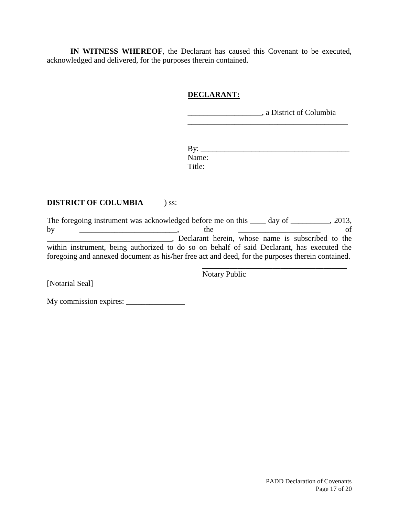**IN WITNESS WHEREOF**, the Declarant has caused this Covenant to be executed, acknowledged and delivered, for the purposes therein contained.

## **DECLARANT:**

\_\_\_\_\_\_\_\_\_\_\_\_\_\_\_\_\_\_\_, a District of Columbia

By: \_\_\_\_\_\_\_\_\_\_\_\_\_\_\_\_\_\_\_\_\_\_\_\_\_\_\_\_\_\_\_\_\_\_\_\_\_\_ Name: Title:

\_\_\_\_\_\_\_\_\_\_\_\_\_\_\_\_\_\_\_\_\_\_\_\_\_\_\_\_\_\_\_\_\_\_\_\_\_\_\_\_\_

## **DISTRICT OF COLUMBIA** ) ss:

The foregoing instrument was acknowledged before me on this \_\_\_\_ day of \_\_\_\_\_\_\_\_, 2013, by <u>\_\_\_\_\_\_\_\_\_\_\_\_\_\_\_\_\_\_\_</u>, the \_\_\_\_\_\_\_\_\_\_\_\_\_\_\_\_\_\_\_\_\_\_\_\_\_ of \_\_\_\_\_\_\_\_\_\_\_\_\_\_\_\_\_\_\_\_\_\_\_\_\_\_\_\_\_\_\_\_, Declarant herein, whose name is subscribed to the within instrument, being authorized to do so on behalf of said Declarant, has executed the foregoing and annexed document as his/her free act and deed, for the purposes therein contained. \_\_\_\_\_\_\_\_\_\_\_\_\_\_\_\_\_\_\_\_\_\_\_\_\_\_\_\_\_\_\_\_\_\_\_\_\_

Notary Public

[Notarial Seal]

My commission expires: \_\_\_\_\_\_\_\_\_\_\_\_\_\_\_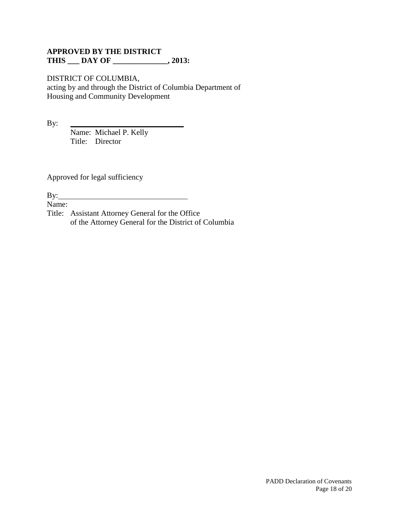## **APPROVED BY THE DISTRICT THIS \_\_\_ DAY OF \_\_\_\_\_\_\_\_\_\_\_\_\_\_, 2013:**

#### DISTRICT OF COLUMBIA,

acting by and through the District of Columbia Department of Housing and Community Development

By: \_\_\_\_\_\_\_\_\_\_\_\_\_\_\_\_\_\_\_\_\_\_\_\_\_\_\_\_\_

Name: Michael P. Kelly Title: Director

Approved for legal sufficiency

By:

Name:

Title: Assistant Attorney General for the Office of the Attorney General for the District of Columbia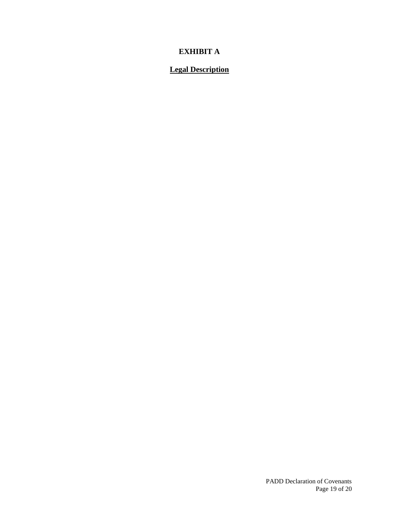# **EXHIBIT A**

# **Legal Description**